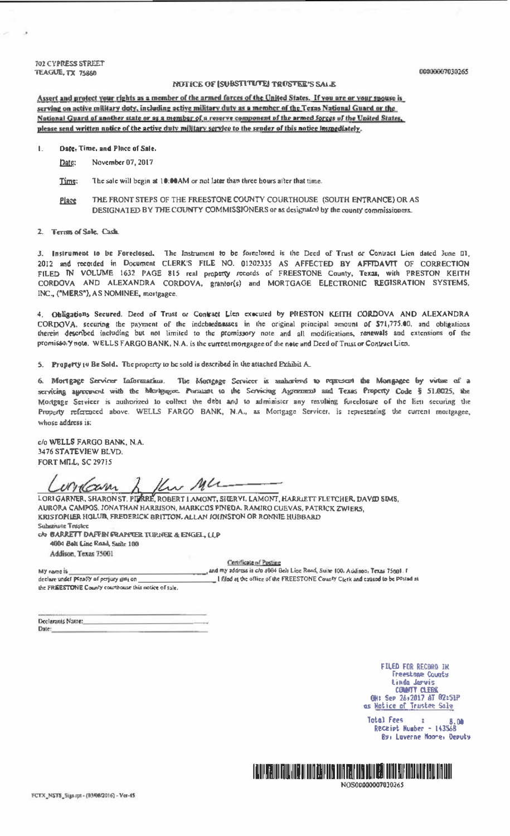**702 CYPRESS STREET TEAGUE, TX 75860** 

## NOTICE OF KURSTUTION TODSTEPS SALE

Assert and protect your rights as a member of the armed forces of the United States. If you are or your spouse is serving on active military doty, including active military duty as a member of the Texas National Guard or the National Guard of another state or as a member of a reserve component of the armed forces of the United States, please send written natice of the active duty military service to the sender of this natice immediately.

flate. Time, and Place of Sale.

Date: November 07, 2017

Time: The sale will begin at 10:00 AM or not later than three hours after that time.

- THE FRONT STEPS OF THE FREESTONE COUNTY COURTHOUSE (SOUTH ENTRANCE) OR AS **Place** DESIGNATED BY THE COUNTY COMMISSIONERS or as designated by the county commissioners.
- 2. Terres of Sole, Cash.

3. Instrument to be Foreclosed. The Instrument to be foreclosed is the Deed of Trust or Contract Lien dated June 01, 2012 and recorded in Document CLERK'S FILE NO. 01202335 AS AFFECTED BY AFFIDAVIT OF CORRECTION FILED IN VOLUME 1632 PAGE 815 real property records of FREESTONE County, Texas, with PRESTON KEITH CORDOVA AND ALEXANDRA CORDOVA, grantor(s) and MORTGAGE ELECTRONIC REGISRATION SYSTEMS, INC., ("MERS"), AS NOMINEE, mortgagee.

4. Obligations Secured. Deed of Trust or Contract Lien executed by PRESTON KEITH CORDOVA AND ALEXANDRA CORDOVA, securing the payment of the indebtednesses in the original principal amount of \$71,775.00, and obligations therein described including but not limited to the promissory note and all modifications, renewals and extensions of the promissory note. WELLS FARGO BANK, N.A. is the current mortgagee of the note and Deed of Trust or Contract Lien.

5. Property 14 Be Sold. The property to be sold is described in the attached Exhibit A.

6. Mortgage Servicer Information. The Mortgage Servicer is amherized to represent the Mongagee by votuse of a servicing agreement with the Marigages. Purstant to the Servicing Agreement and Texas Property Code § 51.0025, the Modgage Servicer is authorized to collect the debt and to administer any resulting forcelosure of the lien securing the Property referenced above. WELLS FARGO BANK, N.A., as Mortgage Servicer, is representing the current mortgagee, whose address is:

c/o WELLS FARGO BANK, N.A. 3476 STATEVIEW BLVD. **FORT MILL, SC 29715** 

Kw Ml wilcom Δ

LORIGARNER, SHARON ST. PITTRE, ROBERT LAMONT, SHERVI, LAMONT, HARRLETT FLETCHER, DAVID SIMS, AURORA CAMPOS, JONATHAN HARRISON, MARKCOS PINEDA, RAMIRO CUEVAS, PATRICK ZWIERS, KRISTOPHER HOLUPI FREDERICK BRITTON. ALLAN JOHNSTON OR RONNIE HUBBARD **Substitute Trastee** 

ch CARRETT DAFEIN FRAPPER TURNER & ENGEL, LLP 4004 Belt Line Rand, Suite 100 Addison, Texas 75001

Certificate of Posting

and my address is c/o 4004 Bell Line Road, Suite 100. Addison, Texas 75001. I My name is declare under penalty of perjury dist on I filed at the office of the FREESTONE County Cterk and entired to be posted at the FREESTONE County courtbouse this notice of sale.

| Declarants Name: |  |
|------------------|--|
| Date:            |  |

**FILED FOR RECORD IN** Freestane County Linda Jarvis **COMMTY CLEBE** OH: Sep 26,2017 AT 02:51P as Notice of Trustee Sale

**Total Fees**  $\mathbb{R}$ 8.00 Receipt Number - 14356B By: Laverne Hoore, Deputy



NOS00000007030265

00000007030265